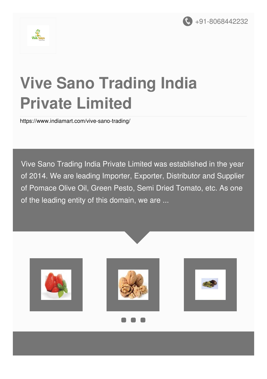



# **Vive Sano Trading India Private Limited**

<https://www.indiamart.com/vive-sano-trading/>

Vive Sano Trading India Private Limited was established in the year of 2014. We are leading Importer, Exporter, Distributor and Supplier of Pomace Olive Oil, Green Pesto, Semi Dried Tomato, etc. As one of the leading entity of this domain, we are ...





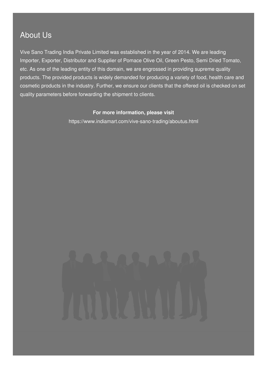### About Us

Vive Sano Trading India Private Limited was established in the year of 2014. We are leading Importer, Exporter, Distributor and Supplier of Pomace Olive Oil, Green Pesto, Semi Dried Tomato, etc. As one of the leading entity of this domain, we are engrossed in providing supreme quality products. The provided products is widely demanded for producing a variety of food, health care and cosmetic products in the industry. Further, we ensure our clients that the offered oil is checked on set quality parameters before forwarding the shipment to clients.

#### **For more information, please visit**

<https://www.indiamart.com/vive-sano-trading/aboutus.html>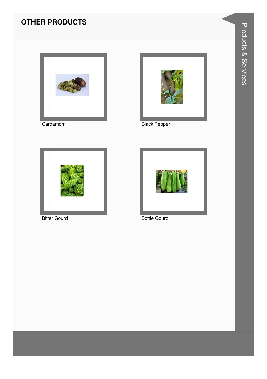#### **OTHER PRODUCTS**



Cardamom



**Black Pepper** 



**Bitter Gourd** 



**Bottle Gourd**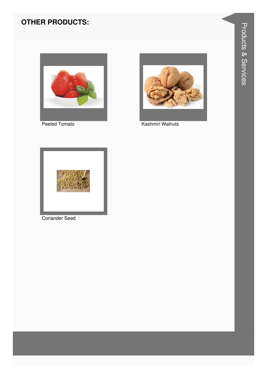#### **OTHER PRODUCTS:**



Peeled Tomato



Kashmiri Walnuts



**Coriander Seed**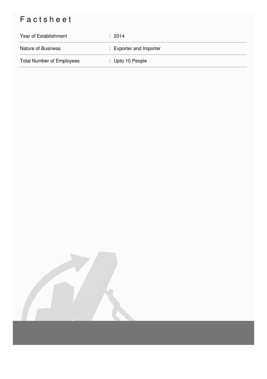## Factsheet

| Year of Establishment            | $\div$ 2014             |
|----------------------------------|-------------------------|
| <b>Nature of Business</b>        | : Exporter and Importer |
| <b>Total Number of Employees</b> | : Upto 10 People        |